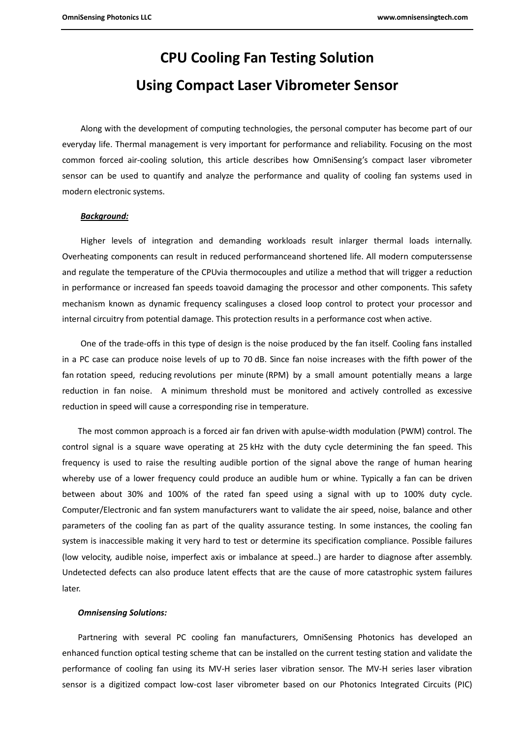# **CPU Cooling Fan Testing Solution Using Compact Laser Vibrometer Sensor**

Along with the development of computing technologies, the personal computer has become part of our everyday life. Thermal management is very important for performance and reliability. Focusing on the most common forced air-cooling solution, this article describes how OmniSensing's compact laser vibrometer sensor can be used to quantify and analyze the performance and quality of cooling fan systems used in modern electronic systems.

### *Background:*

Higher levels of integration and demanding workloads result inlarger thermal loads internally. Overheating components can result in reduced performanceand shortened life. All modern computerssense and regulate the temperature of the CPUvia thermocouples and utilize a method that will trigger a reduction in performance or increased fan speeds toavoid damaging the processor and other components. This safety mechanism known as dynamic frequency scalinguses a closed loop control to protect your processor and internal circuitry from potential damage. This protection results in a performance cost when active.

One of the trade-offs in this type of design is the noise produced by the fan itself. Cooling fans installed in a PC case can produce noise levels of up to 70 [dB.](https://en.wikipedia.org/wiki/Decibels) Since fan noise increases with the fifth power of the fan [rotation speed,](https://en.wikipedia.org/wiki/Rotation_speed) reducing [revolutions per minute](https://en.wikipedia.org/wiki/Revolutions_per_minute) (RPM) by a small amount potentially means a large reduction in fan noise. A minimum threshold must be monitored and actively controlled as excessive reduction in speed will cause a corresponding rise in temperature.

The most common approach is [a forced air fan driven with apulse-width modulation \(](https://en.wikipedia.org/wiki/Pulse-width_modulation)PWM) control. The control signal is a square wave operating at 25 kHz with the duty cycle determining the fan speed. This frequency is used to raise the resulting audible portion of the signal above the range of human hearing whereby use of a lower frequency could produce an audible hum or whine. Typically a fan can be driven between about 30% and 100% of the rated fan speed using a signal with up to 100% duty cycle. Computer/Electronic and fan system manufacturers want to validate the air speed, noise, balance and other parameters of the cooling fan as part of the quality assurance testing. In some instances, the cooling fan system is inaccessible making it very hard to test or determine its specification compliance. Possible failures (low velocity, audible noise, imperfect axis or imbalance at speed..) are harder to diagnose after assembly. Undetected defects can also produce latent effects that are the cause of more catastrophic system failures later.

#### *Omnisensing Solutions:*

Partnering with several PC cooling fan manufacturers, OmniSensing Photonics has developed an enhanced function optical testing scheme that can be installed on the current testing station and validate the performance of cooling fan using its MV-H series laser vibration sensor. The MV-H series laser vibration sensor is a digitized compact low-cost laser vibrometer based on our Photonics Integrated Circuits (PIC)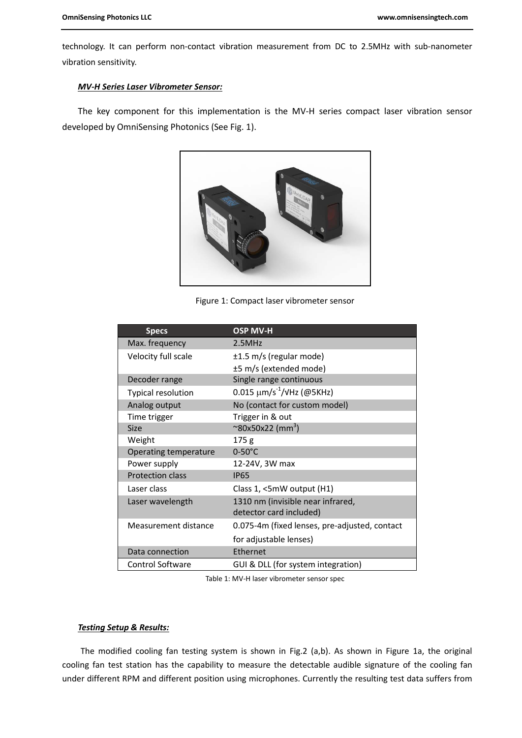technology. It can perform non-contact vibration measurement from DC to 2.5MHz with sub-nanometer vibration sensitivity.

## *MV-H Series Laser Vibrometer Sensor:*

The key component for this implementation is the MV-H series compact laser vibration sensor developed by OmniSensing Photonics (See Fig. 1).



Figure 1: Compact laser vibrometer sensor

| <b>Specs</b>              | <b>OSP MV-H</b>                               |
|---------------------------|-----------------------------------------------|
| Max. frequency            | 2.5MHz                                        |
| Velocity full scale       | ±1.5 m/s (regular mode)                       |
|                           | ±5 m/s (extended mode)                        |
| Decoder range             | Single range continuous                       |
| <b>Typical resolution</b> | 0.015 $\mu$ m/s <sup>-1</sup> /VHz (@5KHz)    |
| Analog output             | No (contact for custom model)                 |
| Time trigger              | Trigger in & out                              |
| Size                      | $\sim$ 80x50x22 (mm $^3$ )                    |
| Weight                    | 175 <sub>g</sub>                              |
| Operating temperature     | $0-50^{\circ}$ C                              |
| Power supply              | 12-24V, 3W max                                |
| <b>Protection class</b>   | <b>IP65</b>                                   |
| Laser class               | Class $1,$ <5mW output (H1)                   |
| Laser wavelength          | 1310 nm (invisible near infrared,             |
|                           | detector card included)                       |
| Measurement distance      | 0.075-4m (fixed lenses, pre-adjusted, contact |
|                           | for adjustable lenses)                        |
| Data connection           | Ethernet                                      |
| <b>Control Software</b>   | GUI & DLL (for system integration)            |

Table 1: MV-H laser vibrometer sensor spec

## *Testing Setup & Results:*

The modified cooling fan testing system is shown in Fig.2 (a,b). As shown in Figure 1a, the original cooling fan test station has the capability to measure the detectable audible signature of the cooling fan under different RPM and different position using microphones. Currently the resulting test data suffers from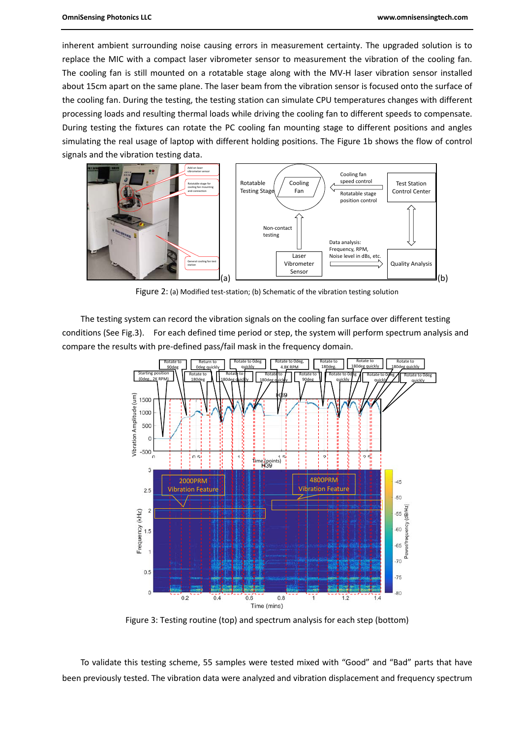inherent ambient surrounding noise causing errors in measurement certainty. The upgraded solution is to replace the MIC with a compact laser vibrometer sensor to measurement the vibration of the cooling fan. The cooling fan is still mounted on a rotatable stage along with the MV-H laser vibration sensor installed about 15cm apart on the same plane. The laser beam from the vibration sensor is focused onto the surface of the cooling fan. During the testing, the testing station can simulate CPU temperatures changes with different processing loads and resulting thermal loads while driving the cooling fan to different speeds to compensate. During testing the fixtures can rotate the PC cooling fan mounting stage to different positions and angles simulating the real usage of laptop with different holding positions. The Figure 1b shows the flow of control signals and the vibration testing data.



Figure 2: (a) Modified test-station; (b) Schematic of the vibration testing solution

The testing system can record the vibration signals on the cooling fan surface over different testing conditions (See Fig.3). For each defined time period or step, the system will perform spectrum analysis and compare the results with pre-defined pass/fail mask in the frequency domain.



Figure 3: Testing routine (top) and spectrum analysis for each step (bottom)

To validate this testing scheme, 55 samples were tested mixed with "Good" and "Bad" parts that have been previously tested. The vibration data were analyzed and vibration displacement and frequency spectrum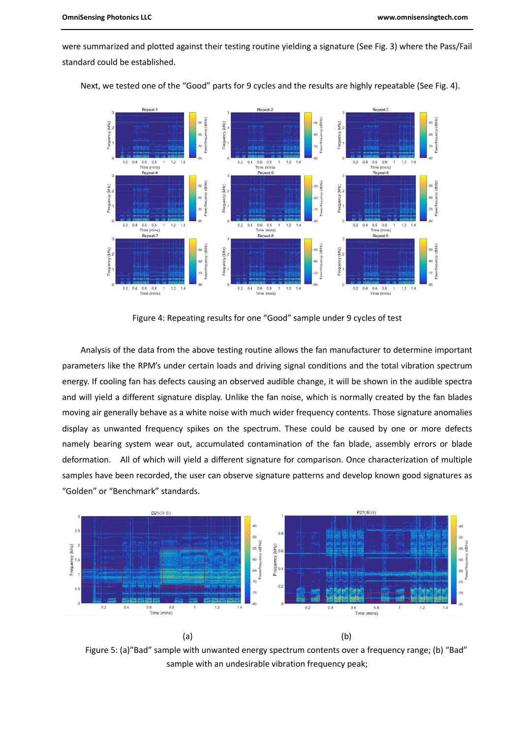were summarized and plotted against their testing routine yielding a signature (See Fig. 3) where the Pass/Fail standard could be established.



Next, we tested one of the "Good" parts for 9 cycles and the results are highly repeatable (See Fig. 4).

Figure 4: Repeating results for one "Good" sample under 9 cycles of test

Analysis of the data from the above testing routine allows the fan manufacturer to determine important parameters like the RPM's under certain loads and driving signal conditions and the total vibration spectrum energy. If cooling fan has defects causing an observed audible change, it will be shown in the audible spectra and will yield a different signature display. Unlike the fan noise, which is normally created by the fan blades moving air generally behave as a white noise with much wider frequency contents. Those signature anomalies display as unwanted frequency spikes on the spectrum. These could be caused by one or more defects namely bearing system wear out, accumulated contamination of the fan blade, assembly errors or blade deformation. All of which will yield a different signature for comparison. Once characterization of multiple samples have been recorded, the user can observe signature patterns and develop known good signatures as "Golden" or "Benchmark" standards.



Figure 5: (a)"Bad" sample with unwanted energy spectrum contents over a frequency range; (b) "Bad" sample with an undesirable vibration frequency peak;